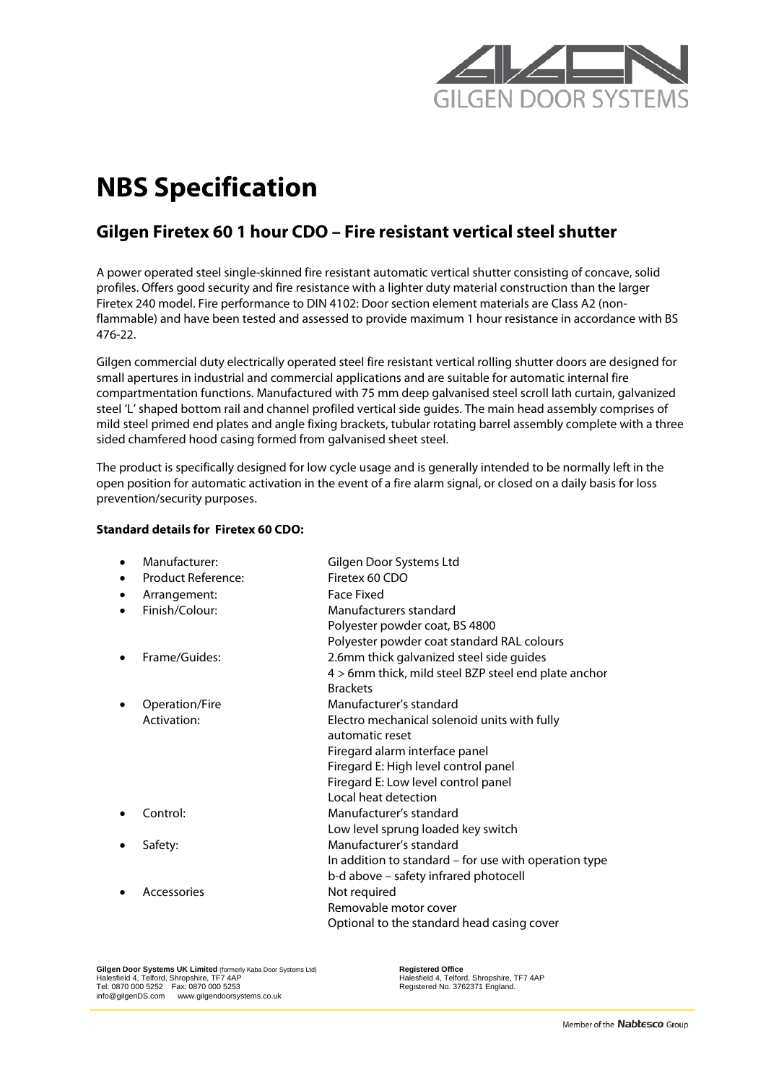

# **NBS Specification**

# **Gilgen Firetex 60 1 hour CDO – Fire resistant vertical steel shutter**

A power operated steel single-skinned fire resistant automatic vertical shutter consisting of concave, solid profiles. Offers good security and fire resistance with a lighter duty material construction than the larger Firetex 240 model. Fire performance to DIN 4102: Door section element materials are Class A2 (nonflammable) and have been tested and assessed to provide maximum 1 hour resistance in accordance with BS 476-22.

Gilgen commercial duty electrically operated steel fire resistant vertical rolling shutter doors are designed for small apertures in industrial and commercial applications and are suitable for automatic internal fire compartmentation functions. Manufactured with 75 mm deep galvanised steel scroll lath curtain, galvanized steel 'L' shaped bottom rail and channel profiled vertical side guides. The main head assembly comprises of mild steel primed end plates and angle fixing brackets, tubular rotating barrel assembly complete with a three sided chamfered hood casing formed from galvanised sheet steel.

The product is specifically designed for low cycle usage and is generally intended to be normally left in the open position for automatic activation in the event of a fire alarm signal, or closed on a daily basis for loss prevention/security purposes.

# **Standard details for Firetex 60 CDO:**

| Manufacturer:      | Gilgen Door Systems Ltd                               |
|--------------------|-------------------------------------------------------|
| Product Reference: | Firetex 60 CDO                                        |
| Arrangement:<br>٠  | <b>Face Fixed</b>                                     |
| Finish/Colour:     | Manufacturers standard                                |
|                    | Polyester powder coat, BS 4800                        |
|                    | Polyester powder coat standard RAL colours            |
| Frame/Guides:      | 2.6mm thick galvanized steel side guides              |
|                    | 4 > 6mm thick, mild steel BZP steel end plate anchor  |
|                    | <b>Brackets</b>                                       |
| Operation/Fire     | Manufacturer's standard                               |
| Activation:        | Electro mechanical solenoid units with fully          |
|                    | automatic reset                                       |
|                    | Firegard alarm interface panel                        |
|                    | Firegard E: High level control panel                  |
|                    | Firegard E: Low level control panel                   |
|                    | Local heat detection                                  |
| Control:           | Manufacturer's standard                               |
|                    | Low level sprung loaded key switch                    |
| Safety:            | Manufacturer's standard                               |
|                    | In addition to standard - for use with operation type |
|                    | b-d above – safety infrared photocell                 |
| Accessories        | Not required                                          |
|                    | Removable motor cover                                 |
|                    | Optional to the standard head casing cover            |

**Gilgen Door Systems UK Limited** (formerly Kaba Door Systems Ltd) **Registered Office**<br>
Halesfield 4, Telford, Shropshire, TF7 4AP<br>
Halesfield 4, Telford, Shropshire, TF7 4AP Halesfield 4, Telford, Shropshire, TF7 4AP<br>Tel: 0870 000 5252 Fax: 0870 000 5253<br>[info@gilgenDS.com](mailto:info@gilgenDS.com)  [www.gilgendoorsystems.co.uk](http://www.gilgendoorsystems.co.uk/)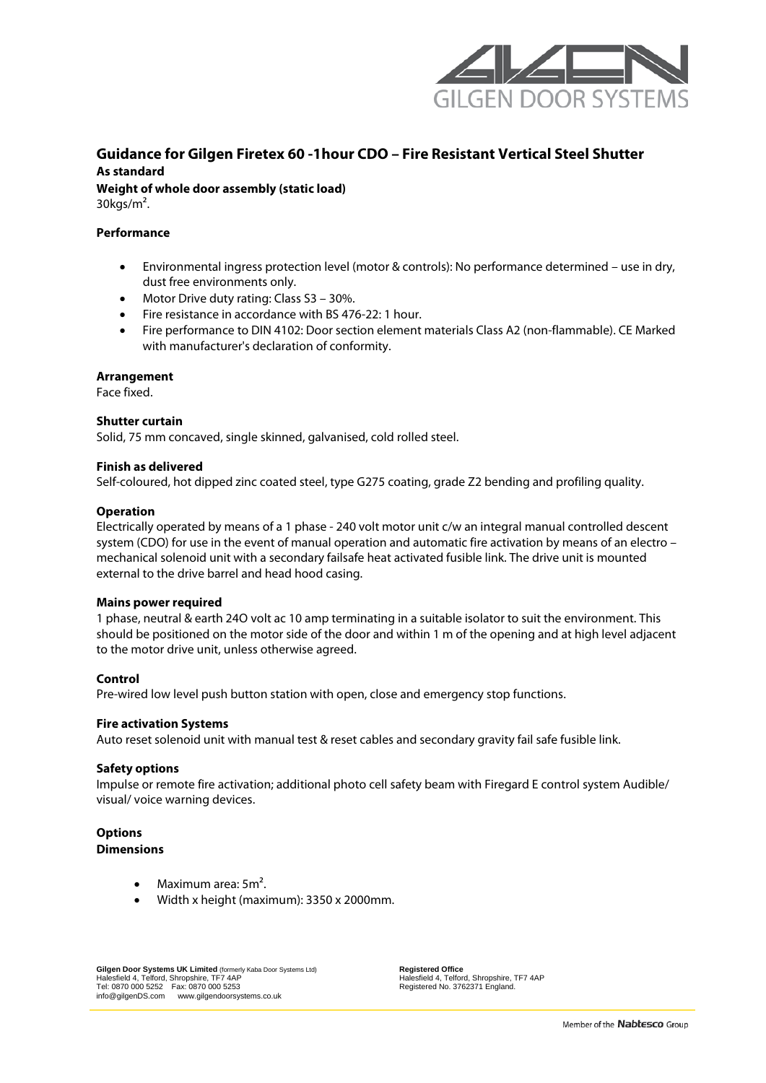

# **Guidance for Gilgen Firetex 60 -1hour CDO – Fire Resistant Vertical Steel Shutter As standard**

**Weight of whole door assembly (static load)** 30kgs/m².

# **Performance**

- Environmental ingress protection level (motor & controls): No performance determined use in dry, dust free environments only.
- Motor Drive duty rating: Class S3 30%.
- Fire resistance in accordance with BS 476-22: 1 hour.
- Fire performance to DIN 4102: Door section element materials Class A2 (non-flammable). CE Marked with manufacturer's declaration of conformity.

# **Arrangement**

Face fixed.

#### **Shutter curtain**

Solid, 75 mm concaved, single skinned, galvanised, cold rolled steel.

#### **Finish as delivered**

Self-coloured, hot dipped zinc coated steel, type G275 coating, grade Z2 bending and profiling quality.

#### **Operation**

Electrically operated by means of a 1 phase - 240 volt motor unit c/w an integral manual controlled descent system (CDO) for use in the event of manual operation and automatic fire activation by means of an electro – mechanical solenoid unit with a secondary failsafe heat activated fusible link. The drive unit is mounted external to the drive barrel and head hood casing.

#### **Mains power required**

1 phase, neutral & earth 24O volt ac 10 amp terminating in a suitable isolator to suit the environment. This should be positioned on the motor side of the door and within 1 m of the opening and at high level adjacent to the motor drive unit, unless otherwise agreed.

# **Control**

Pre-wired low level push button station with open, close and emergency stop functions.

#### **Fire activation Systems**

Auto reset solenoid unit with manual test & reset cables and secondary gravity fail safe fusible link.

#### **Safety options**

Impulse or remote fire activation; additional photo cell safety beam with Firegard E control system Audible/ visual/ voice warning devices.

#### **Options Dimensions**

- Maximum area: 5m<sup>2</sup>.
- Width x height (maximum): 3350 x 2000mm.